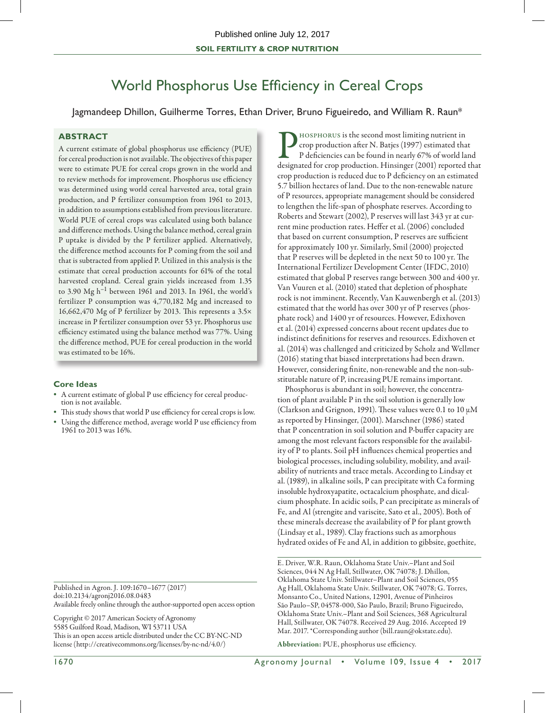# World Phosphorus Use Efficiency in Cereal Crops

Jagmandeep Dhillon, Guilherme Torres, Ethan Driver, Bruno Figueiredo, and William R. Raun\*

# **ABSTRACT**

A current estimate of global phosphorus use efficiency (PUE) for cereal production is not available. The objectives of this paper were to estimate PUE for cereal crops grown in the world and to review methods for improvement. Phosphorus use efficiency was determined using world cereal harvested area, total grain production, and P fertilizer consumption from 1961 to 2013, in addition to assumptions established from previous literature. World PUE of cereal crops was calculated using both balance and difference methods. Using the balance method, cereal grain P uptake is divided by the P fertilizer applied. Alternatively, the difference method accounts for P coming from the soil and that is subtracted from applied P. Utilized in this analysis is the estimate that cereal production accounts for 61% of the total harvested cropland. Cereal grain yields increased from 1.35 to 3.90  $Mg h^{-1}$  between 1961 and 2013. In 1961, the world's fertilizer P consumption was 4,770,182 Mg and increased to 16,662,470 Mg of P fertilizer by 2013. This represents a  $3.5\times$ increase in P fertilizer consumption over 53 yr. Phosphorus use efficiency estimated using the balance method was 77%. Using the difference method, PUE for cereal production in the world was estimated to be 16%.

## **Core Ideas**

- A current estimate of global P use efficiency for cereal production is not available.
- This study shows that world P use efficiency for cereal crops is low.
- Using the difference method, average world P use efficiency from 1961 to 2013 was 16%.

Published in Agron. J. 109:1670–1677 (2017) doi:10.2134/agronj2016.08.0483 Available freely online through the author-supported open access option

Copyright © 2017 American Society of Agronomy 5585 Guilford Road, Madison, WI 53711 USA This is an open access article distributed under the CC BY-NC-ND license (http://creativecommons.org/licenses/by-nc-nd/4.0/)

Phosphorus is the second most limiting nutrient in<br>
rop production after N. Batjes (1997) estimated tha<br>
P deficiencies can be found in nearly 67% of world la<br>
designated for crop production. Hinsinger (2001) reported crop production after N. Batjes (1997) estimated that P deficiencies can be found in nearly 67% of world land designated for crop production. Hinsinger (2001) reported that crop production is reduced due to P deficiency on an estimated 5.7 billion hectares of land. Due to the non-renewable nature of P resources, appropriate management should be considered to lengthen the life-span of phosphate reserves. According to Roberts and Stewart (2002), P reserves will last 343 yr at current mine production rates. Heffer et al. (2006) concluded that based on current consumption, P reserves are sufficient for approximately 100 yr. Similarly, Smil (2000) projected that P reserves will be depleted in the next 50 to 100 yr. The International Fertilizer Development Center (IFDC, 2010) estimated that global P reserves range between 300 and 400 yr. Van Vuuren et al. (2010) stated that depletion of phosphate rock is not imminent. Recently, Van Kauwenbergh et al. (2013) estimated that the world has over 300 yr of P reserves (phosphate rock) and 1400 yr of resources. However, Edixhoven et al. (2014) expressed concerns about recent updates due to indistinct definitions for reserves and resources. Edixhoven et al. (2014) was challenged and criticized by Scholz and Wellmer (2016) stating that biased interpretations had been drawn. However, considering finite, non-renewable and the non-substitutable nature of P, increasing PUE remains important.

Phosphorus is abundant in soil; however, the concentration of plant available P in the soil solution is generally low (Clarkson and Grignon, 1991). These values were 0.1 to 10  $\mu$ M as reported by Hinsinger, (2001). Marschner (1986) stated that P concentration in soil solution and P-buffer capacity are among the most relevant factors responsible for the availability of P to plants. Soil pH influences chemical properties and biological processes, including solubility, mobility, and availability of nutrients and trace metals. According to Lindsay et al. (1989), in alkaline soils, P can precipitate with Ca forming insoluble hydroxyapatite, octacalcium phosphate, and dicalcium phosphate. In acidic soils, P can precipitate as minerals of Fe, and Al (strengite and variscite, Sato et al., 2005). Both of these minerals decrease the availability of P for plant growth (Lindsay et al., 1989). Clay fractions such as amorphous hydrated oxides of Fe and Al, in addition to gibbsite, goethite,

E. Driver, W.R. Raun, Oklahoma State Univ.–Plant and Soil Sciences, 044 N Ag Hall, Stillwater, OK 74078; J. Dhillon, Oklahoma State Univ. Stillwater–Plant and Soil Sciences, 055 Ag Hall, Oklahoma State Univ. Stillwater, OK 74078; G. Torres, Monsanto Co., United Nations, 12901, Avenue of Pinheiros São Paulo–SP, 04578-000, São Paulo, Brazil; Bruno Figueiredo, Oklahoma State Univ.–Plant and Soil Sciences, 368 Agricultural Hall, Stillwater, OK 74078. Received 29 Aug. 2016. Accepted 19 Mar. 2017. \*Corresponding author (bill.raun@okstate.edu).

Abbreviation: PUE, phosphorus use efficiency.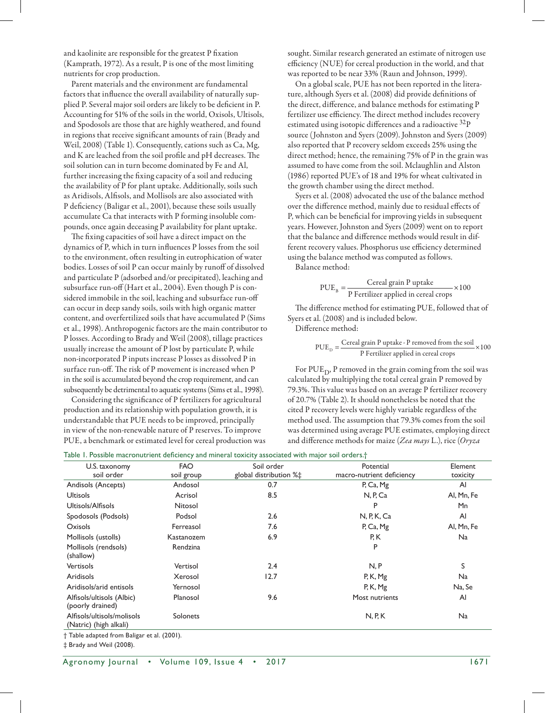and kaolinite are responsible for the greatest P fixation (Kamprath, 1972). As a result, P is one of the most limiting nutrients for crop production.

Parent materials and the environment are fundamental factors that influence the overall availability of naturally supplied P. Several major soil orders are likely to be deficient in P. Accounting for 51% of the soils in the world, Oxisols, Ultisols, and Spodosols are those that are highly weathered, and found in regions that receive significant amounts of rain (Brady and Weil, 2008) (Table 1). Consequently, cations such as Ca, Mg, and K are leached from the soil profile and pH decreases. The soil solution can in turn become dominated by Fe and Al, further increasing the fixing capacity of a soil and reducing the availability of P for plant uptake. Additionally, soils such as Aridisols, Alfisols, and Mollisols are also associated with P deficiency (Baligar et al., 2001), because these soils usually accumulate Ca that interacts with P forming insoluble compounds, once again deceasing P availability for plant uptake.

The fixing capacities of soil have a direct impact on the dynamics of P, which in turn influences P losses from the soil to the environment, often resulting in eutrophication of water bodies. Losses of soil P can occur mainly by runoff of dissolved and particulate P (adsorbed and/or precipitated), leaching and subsurface run-off (Hart et al., 2004). Even though P is considered immobile in the soil, leaching and subsurface run-off can occur in deep sandy soils, soils with high organic matter content, and overfertilized soils that have accumulated P (Sims et al., 1998). Anthropogenic factors are the main contributor to P losses. According to Brady and Weil (2008), tillage practices usually increase the amount of P lost by particulate P, while non-incorporated P inputs increase P losses as dissolved P in surface run-off. The risk of P movement is increased when P in the soil is accumulated beyond the crop requirement, and can subsequently be detrimental to aquatic systems (Sims et al., 1998).

Considering the significance of P fertilizers for agricultural production and its relationship with population growth, it is understandable that PUE needs to be improved, principally in view of the non-renewable nature of P reserves. To improve PUE, a benchmark or estimated level for cereal production was sought. Similar research generated an estimate of nitrogen use efficiency (NUE) for cereal production in the world, and that was reported to be near 33% (Raun and Johnson, 1999).

On a global scale, PUE has not been reported in the literature, although Syers et al. (2008) did provide definitions of the direct, difference, and balance methods for estimating P fertilizer use efficiency. The direct method includes recovery estimated using isotopic differences and a radioactive  $32P$ source (Johnston and Syers (2009). Johnston and Syers (2009) also reported that P recovery seldom exceeds 25% using the direct method; hence, the remaining 75% of P in the grain was assumed to have come from the soil. Mclaughlin and Alston (1986) reported PUE's of 18 and 19% for wheat cultivated in the growth chamber using the direct method.

Syers et al. (2008) advocated the use of the balance method over the difference method, mainly due to residual effects of P, which can be beneficial for improving yields in subsequent years. However, Johnston and Syers (2009) went on to report that the balance and difference methods would result in different recovery values. Phosphorus use efficiency determined using the balance method was computed as follows.

Balance method:

$$
PUEB = \frac{Cereal grain P uptake}{P Fertilizer applied in cereal crops} \times 100
$$

The difference method for estimating PUE, followed that of Syers et al. (2008) and is included below.

Difference method:

$$
PUE_{D} = \frac{Cereal grain P uptake - P removed from the soil}{P Fertilizer applied in cereal crops} \times 100
$$

For  $PUE_{D}$ , P removed in the grain coming from the soil was calculated by multiplying the total cereal grain P removed by 79.3%. This value was based on an average P fertilizer recovery of 20.7% (Table 2). It should nonetheless be noted that the cited P recovery levels were highly variable regardless of the method used. The assumption that 79.3% comes from the soil was determined using average PUE estimates, employing direct and difference methods for maize (*Zea mays* L.), rice (*Oryza* 

|  | Table 1. Possible macronutrient deficiency and mineral toxicity associated with major soil orders.† |  |
|--|-----------------------------------------------------------------------------------------------------|--|
|  |                                                                                                     |  |

| U.S. taxonomy              | <b>FAO</b> | Soil order             | Potential                 | Element      |
|----------------------------|------------|------------------------|---------------------------|--------------|
| soil order                 | soil group | global distribution %‡ | macro-nutrient deficiency | toxicity     |
| Andisols (Ancepts)         | Andosol    | 0.7                    | P, Ca, Mg                 | Al           |
| <b>Ultisols</b>            | Acrisol    | 8.5                    | N, P, Ca                  | Al, Mn, Fe   |
| Ultisols/Alfisols          | Nitosol    |                        | P                         | Mn           |
| Spodosols (Podsols)        | Podsol     | 2.6                    | N, P, K, Ca               | Al           |
| Oxisols                    | Ferreasol  | 7.6                    | P, Ca, Mg                 | Al, Mn, Fe   |
| Mollisols (ustolls)        | Kastanozem | 6.9                    | P, K                      | <b>Na</b>    |
| Mollisols (rendsols)       | Rendzina   |                        | P                         |              |
| (shallow)                  |            |                        |                           |              |
| <b>Vertisols</b>           | Vertisol   | 2.4                    | N, P                      | S            |
| Aridisols                  | Xerosol    | 12.7                   | P, K, Mg                  | Na           |
| Aridisols/arid entisols    | Yernosol   |                        | P, K, Mg                  | Na, Se       |
| Alfisols/ultisols (Albic)  | Planosol   | 9.6                    | Most nutrients            | $\mathsf{A}$ |
| (poorly drained)           |            |                        |                           |              |
| Alfisols/ultisols/molisols | Solonets   |                        | N, R, K                   | Na           |
| (Natric) (high alkali)     |            |                        |                           |              |

† Table adapted from Baligar et al. (2001).

‡ Brady and Weil (2008).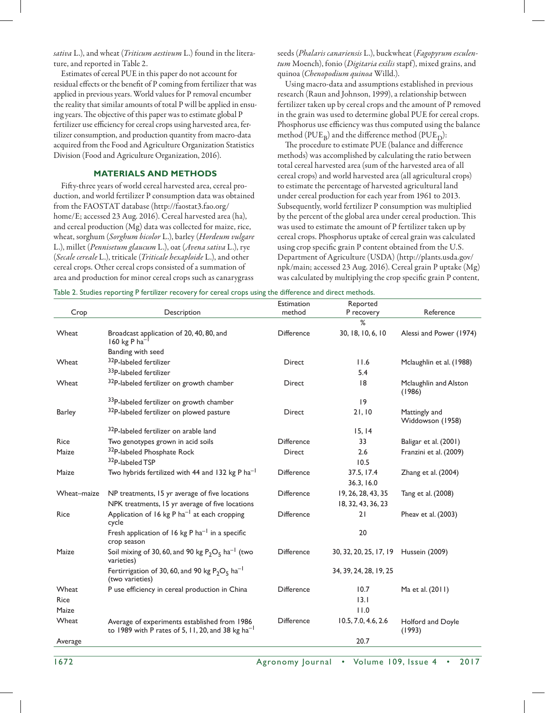*sativa* L.), and wheat (*Triticum aestivum* L.) found in the literature, and reported in Table 2.

Estimates of cereal PUE in this paper do not account for residual effects or the benefit of P coming from fertilizer that was applied in previous years. World values for P removal encumber the reality that similar amounts of total P will be applied in ensuing years. The objective of this paper was to estimate global P fertilizer use efficiency for cereal crops using harvested area, fertilizer consumption, and production quantity from macro-data acquired from the Food and Agriculture Organization Statistics Division (Food and Agriculture Organization, 2016).

## **MATERIALS AND METHODS**

Fifty-three years of world cereal harvested area, cereal production, and world fertilizer P consumption data was obtained from the FAOSTAT database [\(http://faostat3.fao.org/](http://faostat3.fao.org/home) [home](http://faostat3.fao.org/home)/E; accessed 23 Aug. 2016). Cereal harvested area (ha), and cereal production (Mg) data was collected for maize, rice, wheat, sorghum (*Sorghum bicolor* L.), barley (*Hordeum vulgare* L.), millet (*Pennisetum glaucum* L.), oat (*Avena sativa* L.), rye (*Secale cereale* L.), triticale (*Triticale hexaploide* L.), and other cereal crops. Other cereal crops consisted of a summation of area and production for minor cereal crops such as canarygrass

seeds (*Phalaris canariensis* L.), buckwheat (*Fagopyrum esculentum* Moench), fonio (*Digitaria exilis* stapf), mixed grains, and quinoa (*Chenopodium quinoa* Willd.).

Using macro-data and assumptions established in previous research (Raun and Johnson, 1999), a relationship between fertilizer taken up by cereal crops and the amount of P removed in the grain was used to determine global PUE for cereal crops. Phosphorus use efficiency was thus computed using the balance method (PUE<sub>R</sub>) and the difference method (PUE<sub>D</sub>):

The procedure to estimate PUE (balance and difference methods) was accomplished by calculating the ratio between total cereal harvested area (sum of the harvested area of all cereal crops) and world harvested area (all agricultural crops) to estimate the percentage of harvested agricultural land under cereal production for each year from 1961 to 2013. Subsequently, world fertilizer P consumption was multiplied by the percent of the global area under cereal production. This was used to estimate the amount of P fertilizer taken up by cereal crops. Phosphorus uptake of cereal grain was calculated using crop specific grain P content obtained from the U.S. Department of Agriculture (USDA) ([http://plants.usda.gov/](http://plants.usda.gov/npk/main) [npk/main](http://plants.usda.gov/npk/main); accessed 23 Aug. 2016). Cereal grain P uptake (Mg) was calculated by multiplying the crop specific grain P content,

|               |                                                                                                                 | Estimation<br>method | Reported               | Reference                         |
|---------------|-----------------------------------------------------------------------------------------------------------------|----------------------|------------------------|-----------------------------------|
| Crop          | Description                                                                                                     |                      | P recovery<br>$\%$     |                                   |
| Wheat         | Broadcast application of 20, 40, 80, and<br>160 kg P ha <sup>-</sup>                                            | <b>Difference</b>    | 30, 18, 10, 6, 10      | Alessi and Power (1974)           |
|               | Banding with seed                                                                                               |                      |                        |                                   |
| Wheat         | <sup>32</sup> P-labeled fertilizer                                                                              | <b>Direct</b>        | 11.6                   | Mclaughlin et al. (1988)          |
|               | 33P-labeled fertilizer                                                                                          |                      | 5.4                    |                                   |
| Wheat         | 32P-labeled fertilizer on growth chamber                                                                        | <b>Direct</b>        | 8                      | Mclaughlin and Alston<br>(1986)   |
|               | 33P-labeled fertilizer on growth chamber                                                                        |                      | 9                      |                                   |
| <b>Barley</b> | 32P-labeled fertilizer on plowed pasture                                                                        | <b>Direct</b>        | 21, 10                 | Mattingly and<br>Widdowson (1958) |
|               | 32P-labeled fertilizer on arable land                                                                           |                      | 15, 14                 |                                   |
| <b>Rice</b>   | Two genotypes grown in acid soils                                                                               | <b>Difference</b>    | 33                     | Baligar et al. (2001)             |
| Maize         | 32P-labeled Phosphate Rock                                                                                      | Direct               | 2.6                    | Franzini et al. (2009)            |
|               | 32P-labeled TSP                                                                                                 |                      | 10.5                   |                                   |
| Maize         | Two hybrids fertilized with 44 and 132 kg P ha <sup>-1</sup>                                                    | <b>Difference</b>    | 37.5, 17.4             | Zhang et al. (2004)               |
|               |                                                                                                                 |                      | 36.3, 16.0             |                                   |
| Wheat-maize   | NP treatments, 15 yr average of five locations                                                                  | <b>Difference</b>    | 19, 26, 28, 43, 35     | Tang et al. (2008)                |
|               | NPK treatments, 15 yr average of five locations                                                                 |                      | 18, 32, 43, 36, 23     |                                   |
| <b>Rice</b>   | Application of 16 kg P $ha^{-1}$ at each cropping<br>cycle                                                      | <b>Difference</b>    | 21                     | Pheav et al. (2003)               |
|               | Fresh application of 16 kg P ha <sup>-1</sup> in a specific<br>crop season                                      |                      | 20                     |                                   |
| Maize         | Soil mixing of 30, 60, and 90 kg $P_2O_5$ ha <sup>-1</sup> (two<br>varieties)                                   | <b>Difference</b>    | 30, 32, 20, 25, 17, 19 | Hussein (2009)                    |
|               | Fertirrigation of 30, 60, and 90 kg $P_2O_5$ ha <sup>-1</sup><br>(two varieties)                                |                      | 34, 39, 24, 28, 19, 25 |                                   |
| Wheat         | P use efficiency in cereal production in China                                                                  | <b>Difference</b>    | 10.7                   | Ma et al. (2011)                  |
| <b>Rice</b>   |                                                                                                                 |                      | 13.1                   |                                   |
| Maize         |                                                                                                                 |                      | 11.0                   |                                   |
| Wheat         | Average of experiments established from 1986<br>to 1989 with P rates of 5, 11, 20, and 38 $kg$ ha <sup>-1</sup> | <b>Difference</b>    | 10.5, 7.0, 4.6, 2.6    | Holford and Doyle<br>(1993)       |
| Average       |                                                                                                                 |                      | 20.7                   |                                   |

Table 2. Studies reporting P fertilizer recovery for cereal crops using the difference and direct methods.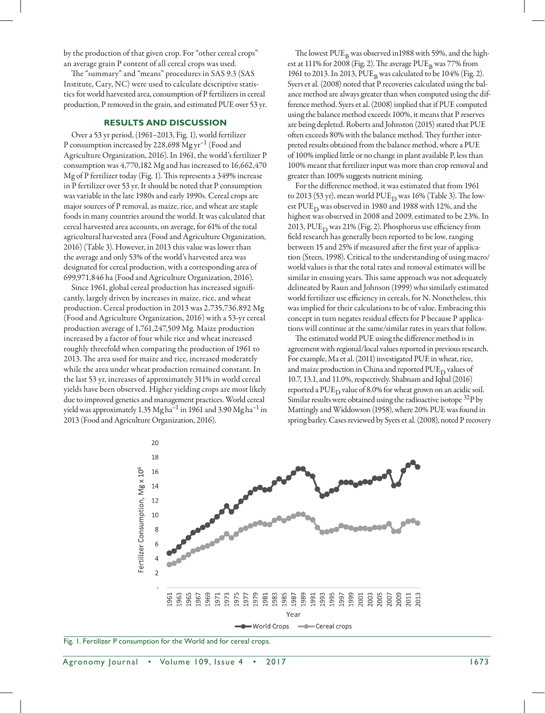by the production of that given crop. For "other cereal crops" an average grain P content of all cereal crops was used.

The "summary" and "means" procedures in SAS 9.3 (SAS Institute, Cary, NC) were used to calculate descriptive statistics for world harvested area, consumption of P fertilizers in cereal production, P removed in the grain, and estimated PUE over 53 yr.

## **RESULTS AND DISCUSSION**

Over a 53 yr period, (1961–2013, Fig. 1), world fertilizer P consumption increased by 228,698 Mg yr<sup>-1</sup> (Food and Agriculture Organization, 2016). In 1961, the world's fertilizer P consumption was 4,770,182 Mg and has increased to 16,662,470 Mg of P fertilizer today (Fig. 1). This represents a 349% increase in P fertilizer over 53 yr. It should be noted that P consumption was variable in the late 1980s and early 1990s. Cereal crops are major sources of P removal, as maize, rice, and wheat are staple foods in many countries around the world. It was calculated that cereal harvested area accounts, on average, for 61% of the total agricultural harvested area (Food and Agriculture Organization, 2016) (Table 3). However, in 2013 this value was lower than the average and only 53% of the world's harvested area was designated for cereal production, with a corresponding area of 699,971,846 ha (Food and Agriculture Organization, 2016).

Since 1961, global cereal production has increased significantly, largely driven by increases in maize, rice, and wheat production. Cereal production in 2013 was 2,735,736,892 Mg (Food and Agriculture Organization, 2016) with a 53-yr cereal production average of 1,761,247,509 Mg. Maize production increased by a factor of four while rice and wheat increased roughly threefold when comparing the production of 1961 to 2013. The area used for maize and rice, increased moderately while the area under wheat production remained constant. In the last 53 yr, increases of approximately 311% in world cereal yields have been observed. Higher yielding crops are most likely due to improved genetics and management practices. World cereal yield was approximately 1.35  $Mg$  ha $^{-1}$  in 1961 and 3.90  $Mg$  ha $^{-1}$  in 2013 (Food and Agriculture Organization, 2016).

The lowest  $PUE<sub>B</sub>$  was observed in 1988 with 59%, and the highest at 111% for 2008 (Fig. 2). The average  $PUE_{B}$  was 77% from 1961 to 2013. In 2013, PUE<sub>B</sub> was calculated to be 104% (Fig. 2). Syers et al. (2008) noted that P recoveries calculated using the balance method are always greater than when computed using the difference method. Syers et al. (2008) implied that if PUE computed using the balance method exceeds 100%, it means that P reserves are being depleted. Roberts and Johnston (2015) stated that PUE often exceeds 80% with the balance method. They further interpreted results obtained from the balance method, where a PUE of 100% implied little or no change in plant available P, less than 100% meant that fertilizer input was more than crop removal and greater than 100% suggests nutrient mining.

For the difference method, it was estimated that from 1961 to 2013 (53 yr), mean world PUE<sub>D</sub> was 16% (Table 3). The lowest  $PUE_{D}$  was observed in 1980 and 1988 with 12%, and the highest was observed in 2008 and 2009, estimated to be 23%. In 2013, PUE<sub>D</sub> was 21% (Fig. 2). Phosphorus use efficiency from field research has generally been reported to be low, ranging between 15 and 25% if measured after the first year of application (Steen, 1998). Critical to the understanding of using macro/ world values is that the total rates and removal estimates will be similar in ensuing years. This same approach was not adequately delineated by Raun and Johnson (1999) who similarly estimated world fertilizer use efficiency in cereals, for N. Nonetheless, this was implied for their calculations to be of value. Embracing this concept in turn negates residual effects for P because P applications will continue at the same/similar rates in years that follow.

The estimated world PUE using the difference method is in agreement with regional/local values reported in previous research. For example, Ma et al. (2011) investigated PUE in wheat, rice, and maize production in China and reported  $PUE<sub>D</sub>$  values of 10.7, 13.1, and 11.0%, respectively. Shabnam and Iqbal (2016) reported a PUE<sub>D</sub> value of 8.0% for wheat grown on an acidic soil. Similar results were obtained using the radioactive isotope  $32P$  by Mattingly and Widdowson (1958), where 20% PUE was found in spring barley. Cases reviewed by Syers et al. (2008), noted P recovery



Fig. 1. Fertilizer P consumption for the World and for cereal crops.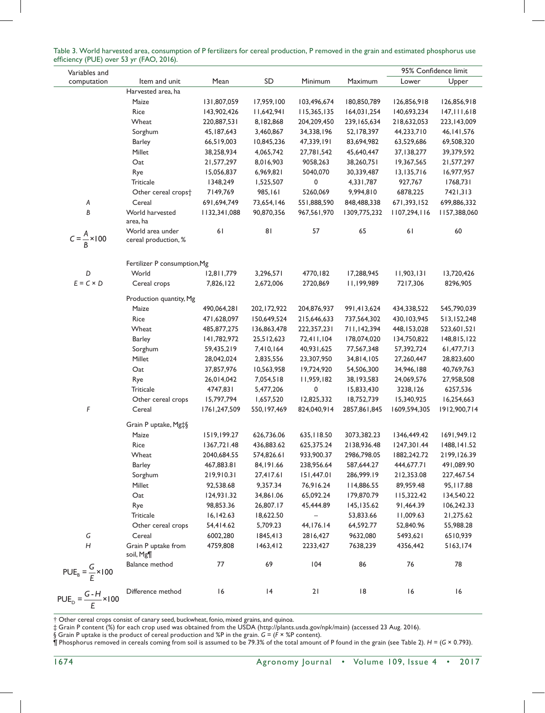|                                          | $-$ , $\circ$ , $\circ$ , $\circ$ , $\circ$ , $\circ$ , $\circ$ , $\circ$ , $\circ$ , $\circ$ , $\circ$ , $\circ$ , $\circ$ , $\circ$ , $\circ$ , $\circ$ , $\circ$ , $\circ$ , $\circ$ , $\circ$ , $\circ$ , $\circ$ , $\circ$ , $\circ$ , $\circ$ , $\circ$ , $\circ$ , $\circ$ , $\circ$ , $\circ$ , $\circ$ , $\circ$ , $\circ$ , $\circ$ , $\circ$ , $\circ$ , $\circ$ , |              |               |              |               |               | 95% Confidence limit |
|------------------------------------------|-------------------------------------------------------------------------------------------------------------------------------------------------------------------------------------------------------------------------------------------------------------------------------------------------------------------------------------------------------------------------------|--------------|---------------|--------------|---------------|---------------|----------------------|
| Variables and<br>computation             | Item and unit                                                                                                                                                                                                                                                                                                                                                                 | Mean         | SD            | Minimum      | Maximum       | Lower         | Upper                |
|                                          | Harvested area, ha                                                                                                                                                                                                                                                                                                                                                            |              |               |              |               |               |                      |
|                                          | Maize                                                                                                                                                                                                                                                                                                                                                                         | 131,807,059  | 17,959,100    | 103,496,674  | 180,850,789   | 126,856,918   | 126,856,918          |
|                                          | Rice                                                                                                                                                                                                                                                                                                                                                                          | 143,902,426  | 11,642,941    | 115,365,135  | 164,031,254   | 140,693,234   | 147, 111, 618        |
|                                          | Wheat                                                                                                                                                                                                                                                                                                                                                                         | 220,887,531  | 8,182,868     | 204,209,450  | 239, 165, 634 | 218,632,053   | 223, 143, 009        |
|                                          | Sorghum                                                                                                                                                                                                                                                                                                                                                                       | 45, 187, 643 | 3,460,867     | 34,338,196   | 52,178,397    | 44,233,710    | 46, 141, 576         |
|                                          | <b>Barley</b>                                                                                                                                                                                                                                                                                                                                                                 | 66,519,003   | 10,845,236    | 47,339,191   | 83,694,982    | 63,529,686    | 69,508,320           |
|                                          | Millet                                                                                                                                                                                                                                                                                                                                                                        | 38,258,934   | 4,065,742     | 27,781,542   | 45,640,447    | 37,138,277    | 39,379,592           |
|                                          | Oat                                                                                                                                                                                                                                                                                                                                                                           | 21,577,297   | 8,016,903     | 9058,263     | 38,260,751    | 19,367,565    | 21,577,297           |
|                                          | Rye                                                                                                                                                                                                                                                                                                                                                                           | 15,056,837   | 6,969,821     | 5040,070     | 30,339,487    | 13,135,716    | 16,977,957           |
|                                          | <b>Triticale</b>                                                                                                                                                                                                                                                                                                                                                              | 1348,249     | 1,525,507     | 0            | 4,331,787     | 927,767       | 1768,731             |
|                                          | Other cereal crops <sup>+</sup>                                                                                                                                                                                                                                                                                                                                               | 7149,769     | 985,161       | 5260,069     | 9,994,810     | 6878,225      | 7421,313             |
| Α                                        | Cereal                                                                                                                                                                                                                                                                                                                                                                        | 691,694,749  | 73,654,146    | 551,888,590  | 848,488,338   | 671,393,152   | 699,886,332          |
| B                                        | World harvested                                                                                                                                                                                                                                                                                                                                                               | 1132,341,088 | 90,870,356    | 967,561,970  | 1309,775,232  | 1107,294,116  | 1157,388,060         |
|                                          | area, ha                                                                                                                                                                                                                                                                                                                                                                      |              |               |              |               |               |                      |
| $C = \frac{A}{R} \times 100$             | World area under<br>cereal production, %                                                                                                                                                                                                                                                                                                                                      | 61           | 81            | 57           | 65            | 61            | 60                   |
|                                          | Fertilizer P consumption, Mg                                                                                                                                                                                                                                                                                                                                                  |              |               |              |               |               |                      |
| D                                        | World                                                                                                                                                                                                                                                                                                                                                                         | 12,811,779   | 3,296,571     | 4770,182     | 17,288,945    | 11,903,131    | 13,720,426           |
| $E = C \times D$                         | Cereal crops                                                                                                                                                                                                                                                                                                                                                                  | 7,826,122    | 2,672,006     | 2720,869     | 11,199,989    | 7217,306      | 8296,905             |
|                                          |                                                                                                                                                                                                                                                                                                                                                                               |              |               |              |               |               |                      |
|                                          | Production quantity, Mg                                                                                                                                                                                                                                                                                                                                                       |              |               |              |               |               |                      |
|                                          | Maize                                                                                                                                                                                                                                                                                                                                                                         | 490,064,281  | 202, 172, 922 | 204,876,937  | 991,413,624   | 434,338,522   | 545,790,039          |
|                                          | Rice                                                                                                                                                                                                                                                                                                                                                                          | 471,628,097  | 150,649,524   | 215,646,633  | 737,564,302   | 430, 103, 945 | 513,152,248          |
|                                          | Wheat                                                                                                                                                                                                                                                                                                                                                                         | 485,877,275  | 136,863,478   | 222,357,231  | 711,142,394   | 448, 153, 028 | 523,601,521          |
|                                          | <b>Barley</b>                                                                                                                                                                                                                                                                                                                                                                 | 141,782,972  | 25,512,623    | 72,411,104   | 178,074,020   | 134,750,822   | 148,815,122          |
|                                          | Sorghum                                                                                                                                                                                                                                                                                                                                                                       | 59,435,219   | 7,410,164     | 40,931,625   | 77,567,348    | 57,392,724    | 61,477,713           |
|                                          | Millet                                                                                                                                                                                                                                                                                                                                                                        | 28,042,024   | 2,835,556     | 23,307,950   | 34,814,105    | 27,260,447    | 28,823,600           |
|                                          | Oat                                                                                                                                                                                                                                                                                                                                                                           | 37,857,976   | 10,563,958    | 19,724,920   | 54,506,300    | 34,946,188    | 40,769,763           |
|                                          | Rye                                                                                                                                                                                                                                                                                                                                                                           | 26,014,042   | 7,054,518     | 11,959,182   | 38, 193, 583  | 24,069,576    | 27,958,508           |
|                                          | <b>Triticale</b>                                                                                                                                                                                                                                                                                                                                                              | 4747,831     | 5,477,206     | 0            | 15,833,430    | 3238,126      | 6257,536             |
|                                          | Other cereal crops                                                                                                                                                                                                                                                                                                                                                            | 15,797,794   | 1,657,520     | 12,825,332   | 18,752,739    | 15,340,925    | 16,254,663           |
| F                                        | Cereal                                                                                                                                                                                                                                                                                                                                                                        | 1761,247,509 | 550, 197, 469 | 824,040,914  | 2857,861,845  | 1609,594,305  | 1912,900,714         |
|                                          | Grain P uptake, Mg#§                                                                                                                                                                                                                                                                                                                                                          |              |               |              |               |               |                      |
|                                          | Maize                                                                                                                                                                                                                                                                                                                                                                         | 1519,199.27  | 626,736.06    | 635, I 18.50 | 3073,382.23   | 1346,449.42   | 1691,949.12          |
|                                          | Rice                                                                                                                                                                                                                                                                                                                                                                          | 1367,721.48  | 436,883.62    | 625,375.24   | 2138,936.48   | 1247,301.44   | 1488, 141.52         |
|                                          | Wheat                                                                                                                                                                                                                                                                                                                                                                         | 2040,684.55  | 574,826.61    | 933,900.37   | 2986,798.05   | 1882,242.72   | 2199,126.39          |
|                                          | <b>Barley</b>                                                                                                                                                                                                                                                                                                                                                                 | 467,883.81   | 84, 191.66    | 238,956.64   | 587,644.27    | 444,677.71    | 491,089.90           |
|                                          | Sorghum                                                                                                                                                                                                                                                                                                                                                                       | 219,910.31   | 27,417.61     | 151,447.01   | 286,999.19    | 212,353.08    | 227,467.54           |
|                                          | Millet                                                                                                                                                                                                                                                                                                                                                                        | 92,538.68    | 9,357.34      | 76,916.24    | 114,886.55    | 89,959.48     | 95, II7.88           |
|                                          | Oat                                                                                                                                                                                                                                                                                                                                                                           | 124,931.32   | 34,861.06     | 65,092.24    | 179,870.79    | 115,322.42    | 134,540.22           |
|                                          | Rye                                                                                                                                                                                                                                                                                                                                                                           | 98,853.36    | 26,807.17     | 45,444.89    | 145,135.62    | 91,464.39     | 106,242.33           |
|                                          | Triticale                                                                                                                                                                                                                                                                                                                                                                     | 16, 142.63   | 18,622.50     |              | 53,833.66     | 11,009.63     | 21,275.62            |
|                                          | Other cereal crops                                                                                                                                                                                                                                                                                                                                                            | 54,414.62    | 5,709.23      | 44, 176. 14  | 64,592.77     | 52,840.96     | 55,988.28            |
| G                                        | Cereal                                                                                                                                                                                                                                                                                                                                                                        | 6002,280     | 1845,413      | 2816,427     | 9632,080      | 5493,621      | 6510,939             |
| $\boldsymbol{H}$                         | Grain P uptake from<br>soil, Mg¶                                                                                                                                                                                                                                                                                                                                              | 4759,808     | 1463, 412     | 2233,427     | 7638,239      | 4356,442      | 5163,174             |
|                                          | Balance method                                                                                                                                                                                                                                                                                                                                                                | 77           | 69            | 104          | 86            | 76            | 78                   |
| $PUE_B = \frac{G}{E} \times 100$         |                                                                                                                                                                                                                                                                                                                                                                               |              |               |              |               |               |                      |
| PUE <sub>D</sub> = $\frac{G-H}{T}$ × 100 | Difference method                                                                                                                                                                                                                                                                                                                                                             | 16           | 4             | 21           | 8             | 16            | 16                   |

Table 3. World harvested area, consumption of P fertilizers for cereal production, P removed in the grain and estimated phosphorus use efficiency (PUE) over 53 yr (FAO, 2016).

† Other cereal crops consist of canary seed, buckwheat, fonio, mixed grains, and quinoa.

‡ Grain P content (%) for each crop used was obtained from the USDA [\(http://plants.usda.gov/npk/main\)](http://plants.usda.gov/npk/main) (accessed 23 Aug. 2016).

§ Grain P uptake is the product of cereal production and %P in the grain. *G* = (*F* × %P content).

¶ Phosphorus removed in cereals coming from soil is assumed to be 79.3% of the total amount of P found in the grain (see Table 2). *H* = (*G* × 0.793).

*E*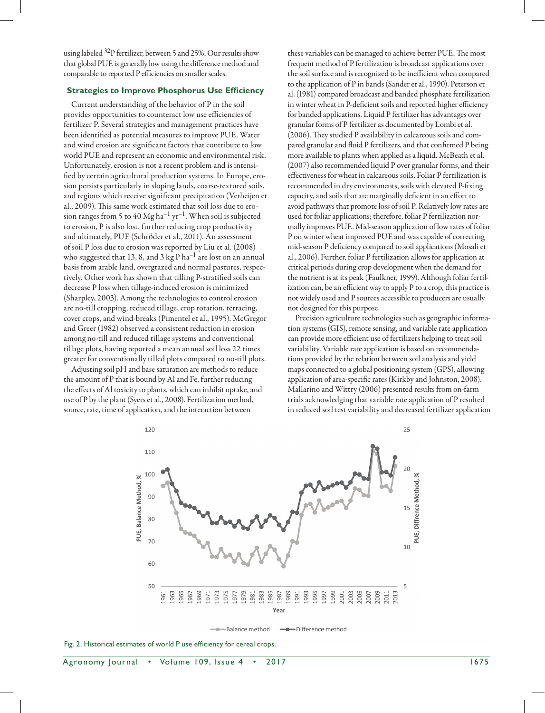using labeled <sup>32</sup>P fertilizer, between 5 and 25%. Our results show that global PUE is generally low using the difference method and comparable to reported P efficiencies on smaller scales.

### **Strategies to Improve Phosphorus Use Efficiency**

Current understanding of the behavior of P in the soil provides opportunities to counteract low use efficiencies of fertilizer P. Several strategies and management practices have been identified as potential measures to improve PUE. Water and wind erosion are significant factors that contribute to low world PUE and represent an economic and environmental risk. Unfortunately, erosion is not a recent problem and is intensified by certain agricultural production systems. In Europe, erosion persists particularly in sloping lands, coarse-textured soils, and regions which receive significant precipitation (Verheijen et al., 2009). This same work estimated that soil loss due to erosion ranges from 5 to 40 Mg ha<sup>-1</sup> yr<sup>-1</sup>. When soil is subjected to erosion, P is also lost, further reducing crop productivity and ultimately, PUE (Schröder et al., 2011). An assessment of soil P loss due to erosion was reported by Liu et al. (2008) who suggested that 13, 8, and 3 kg P  $\mathrm{ha}^{-1}$  are lost on an annual basis from arable land, overgrazed and normal pastures, respectively. Other work has shown that tilling P-stratified soils can decrease P loss when tillage-induced erosion is minimized (Sharpley, 2003). Among the technologies to control erosion are no-till cropping, reduced tillage, crop rotation, terracing, cover crops, and wind-breaks (Pimentel et al., 1995). McGregor and Greer (1982) observed a consistent reduction in erosion among no-till and reduced tillage systems and conventional tillage plots, having reported a mean annual soil loss 22 times greater for conventionally tilled plots compared to no-till plots.

Adjusting soil pH and base saturation are methods to reduce the amount of P that is bound by Al and Fe, further reducing the effects of Al toxicity to plants, which can inhibit uptake, and use of P by the plant (Syers et al., 2008). Fertilization method, source, rate, time of application, and the interaction between

these variables can be managed to achieve better PUE. The most frequent method of P fertilization is broadcast applications over the soil surface and is recognized to be inefficient when compared to the application of P in bands (Sander et al., 1990). Peterson et al. (1981) compared broadcast and banded phosphate fertilization in winter wheat in P-deficient soils and reported higher efficiency for banded applications. Liquid P fertilizer has advantages over granular forms of P fertilizer as documented by Lombi et al. (2006). They studied P availability in calcareous soils and compared granular and fluid P fertilizers, and that confirmed P being more available to plants when applied as a liquid. McBeath et al. (2007) also recommended liquid P over granular forms, and their effectiveness for wheat in calcareous soils. Foliar P fertilization is recommended in dry environments, soils with elevated P-fixing capacity, and soils that are marginally deficient in an effort to avoid pathways that promote loss of soil P. Relatively low rates are used for foliar applications; therefore, foliar P fertilization normally improves PUE. Mid-season application of low rates of foliar P on winter wheat improved PUE and was capable of correcting mid-season P deficiency compared to soil applications (Mosali et al., 2006). Further, foliar P fertilization allows for application at critical periods during crop development when the demand for the nutrient is at its peak (Faulkner, 1999). Although foliar fertilization can, be an efficient way to apply P to a crop, this practice is not widely used and P sources accessible to producers are usually not designed for this purpose.

Precision agriculture technologies such as geographic information systems (GIS), remote sensing, and variable rate application can provide more efficient use of fertilizers helping to treat soil variability. Variable rate application is based on recommendations provided by the relation between soil analysis and yield maps connected to a global positioning system (GPS), allowing application of area-specific rates (Kirkby and Johnston, 2008). Mallarino and Wittry (2006) presented results from on-farm trials acknowledging that variable rate application of P resulted in reduced soil test variability and decreased fertilizer application



**Balance method** Difference method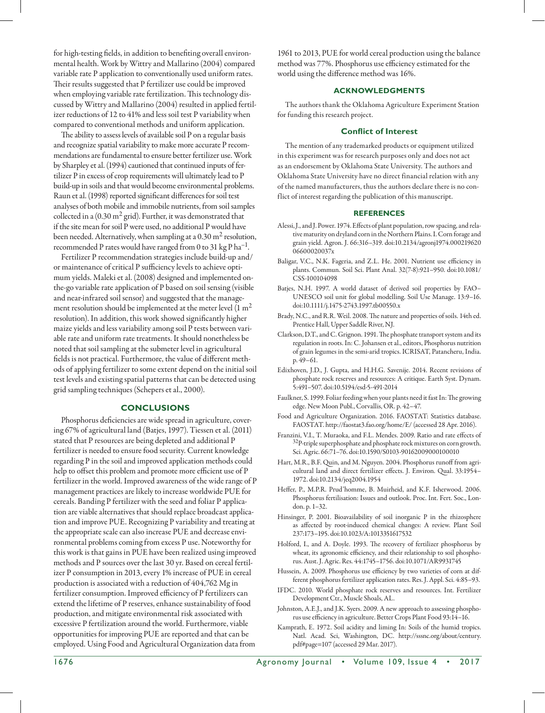for high-testing fields, in addition to benefiting overall environmental health. Work by Wittry and Mallarino (2004) compared variable rate P application to conventionally used uniform rates. Their results suggested that P fertilizer use could be improved when employing variable rate fertilization. This technology discussed by Wittry and Mallarino (2004) resulted in applied fertilizer reductions of 12 to 41% and less soil test P variability when compared to conventional methods and uniform application.

The ability to assess levels of available soil P on a regular basis and recognize spatial variability to make more accurate P recommendations are fundamental to ensure better fertilizer use. Work by Sharpley et al. (1994) cautioned that continued inputs of fertilizer P in excess of crop requirements will ultimately lead to P build-up in soils and that would become environmental problems. Raun et al. (1998) reported significant differences for soil test analyses of both mobile and immobile nutrients, from soil samples collected in a  $(0.30 \text{ m}^2 \text{ grid})$ . Further, it was demonstrated that if the site mean for soil P were used, no additional P would have been needed. Alternatively, when sampling at a  $0.30 \text{ m}^2$  resolution, recommended P rates would have ranged from 0 to 31 kg P  $\rm{ha^{-1}}$ .

Fertilizer P recommendation strategies include build-up and/ or maintenance of critical P sufficiency levels to achieve optimum yields. Maleki et al. (2008) designed and implemented onthe-go variable rate application of P based on soil sensing (visible and near-infrared soil sensor) and suggested that the management resolution should be implemented at the meter level  $(1 m<sup>2</sup>$ resolution). In addition, this work showed significantly higher maize yields and less variability among soil P tests between variable rate and uniform rate treatments. It should nonetheless be noted that soil sampling at the submeter level in agricultural fields is not practical. Furthermore, the value of different methods of applying fertilizer to some extent depend on the initial soil test levels and existing spatial patterns that can be detected using grid sampling techniques (Schepers et al., 2000).

## **Conclusions**

Phosphorus deficiencies are wide spread in agriculture, covering 67% of agricultural land (Batjes, 1997). Tiessen et al. (2011) stated that P resources are being depleted and additional P fertilizer is needed to ensure food security. Current knowledge regarding P in the soil and improved application methods could help to offset this problem and promote more efficient use of P fertilizer in the world. Improved awareness of the wide range of P management practices are likely to increase worldwide PUE for cereals. Banding P fertilizer with the seed and foliar P application are viable alternatives that should replace broadcast application and improve PUE. Recognizing P variability and treating at the appropriate scale can also increase PUE and decrease environmental problems coming from excess P use. Noteworthy for this work is that gains in PUE have been realized using improved methods and P sources over the last 30 yr. Based on cereal fertilizer P consumption in 2013, every 1% increase of PUE in cereal production is associated with a reduction of 404,762 Mg in fertilizer consumption. Improved efficiency of P fertilizers can extend the lifetime of P reserves, enhance sustainability of food production, and mitigate environmental risk associated with excessive P fertilization around the world. Furthermore, viable opportunities for improving PUE are reported and that can be employed. Using Food and Agricultural Organization data from

1961 to 2013, PUE for world cereal production using the balance method was 77%. Phosphorus use efficiency estimated for the world using the difference method was 16%.

## **Acknowledgments**

The authors thank the Oklahoma Agriculture Experiment Station for funding this research project.

#### **Conflict of Interest**

The mention of any trademarked products or equipment utilized in this experiment was for research purposes only and does not act as an endorsement by Oklahoma State University. The authors and Oklahoma State University have no direct financial relation with any of the named manufacturers, thus the authors declare there is no conflict of interest regarding the publication of this manuscript.

#### **REFERENCES**

- Alessi, J., and J. Power. 1974. Effects of plant population, row spacing, and relative maturity on dryland corn in the Northern Plains. I. Corn forage and grain yield. Agron. J. 66:316–319. [doi:10.2134/agronj1974.000219620](http://dx.doi.org/10.2134/agronj1974.00021962006600020037x) [06600020037x](http://dx.doi.org/10.2134/agronj1974.00021962006600020037x)
- Baligar, V.C., N.K. Fageria, and Z.L. He. 2001. Nutrient use efficiency in plants. Commun. Soil Sci. Plant Anal. 32(7-8):921–950. [doi:10.1081/](http://dx.doi.org/10.1081/CSS-100104098) [CSS-100104098](http://dx.doi.org/10.1081/CSS-100104098)
- Batjes, N.H. 1997. A world dataset of derived soil properties by FAO– UNESCO soil unit for global modelling. Soil Use Manage. 13:9–16. [doi:10.1111/j.1475-2743.1997.tb00550.x](http://dx.doi.org/10.1111/j.1475-2743.1997.tb00550.x)
- Brady, N.C., and R.R. Weil. 2008. The nature and properties of soils. 14th ed. Prentice Hall, Upper Saddle River, NJ.
- Clarkson, D.T., and C. Grignon. 1991. The phosphate transport system and its regulation in roots. In: C. Johansen et al., editors, Phosphorus nutrition of grain legumes in the semi-arid tropics. ICRISAT, Patancheru, India. p. 49–61.
- Edixhoven, J.D., J. Gupta, and H.H.G. Savenije. 2014. Recent revisions of phosphate rock reserves and resources: A critique. Earth Syst. Dynam. 5:491–507. [doi:10.5194/esd-5-491-2014](http://dx.doi.org/10.5194/esd-5-491-2014)
- Faulkner, S. 1999. Foliar feeding when your plants need it fast In: The growing edge. New Moon Publ., Corvallis, OR. p. 42–47.
- Food and Agriculture Organization. 2016. FAOSTAT: Statistics database. FAOSTAT. <http://faostat3.fao.org/home>/E/ (accessed 28 Apr. 2016).
- Franzini, V.I., T. Muraoka, and F.L. Mendes. 2009. Ratio and rate effects of  $32P$ -triple superphosphate and phosphate rock mixtures on corn growth. Sci. Agric. 66:71–76. [doi:10.1590/S0103-90162009000100010](http://dx.doi.org/10.1590/S0103-90162009000100010)
- Hart, M.R., B.F. Quin, and M. Nguyen. 2004. Phosphorus runoff from agricultural land and direct fertilizer effects. J. Environ. Qual. 33:1954– 1972. [doi:10.2134/jeq2004.1954](http://dx.doi.org/10.2134/jeq2004.1954)
- Heffer, P., M.P.R. Prud'homme, B. Muirheid, and K.F. Isherwood. 2006. Phosphorus fertilisation: Issues and outlook. Proc. Int. Fert. Soc., London. p. 1–32.
- Hinsinger, P. 2001. Bioavailability of soil inorganic P in the rhizosphere as affected by root-induced chemical changes: A review. Plant Soil 237:173–195. [doi:10.1023/A:1013351617532](http://dx.doi.org/10.1023/A:1013351617532)
- Holford, I., and A. Doyle. 1993. The recovery of fertilizer phosphorus by wheat, its agronomic efficiency, and their relationship to soil phosphorus. Aust. J. Agric. Res. 44:1745–1756. [doi:10.1071/AR9931745](http://dx.doi.org/10.1071/AR9931745)
- Hussein, A. 2009. Phosphorus use efficiency by two varieties of corn at different phosphorus fertilizer application rates. Res. J. Appl. Sci. 4:85–93.
- IFDC. 2010. World phosphate rock reserves and resources. Int. Fertilizer Development Ctr., Muscle Shoals, AL.
- Johnston, A.E.J., and J.K. Syers. 2009. A new approach to assessing phosphorus use efficiency in agriculture. Better Crops Plant Food 93:14–16.
- Kamprath, E. 1972. Soil acidity and liming In: Soils of the humid tropics. Natl. Acad. Sci, Washington, DC. [http://sssnc.org/about/century.](http://sssnc.org/about/century.pdf) [pdf#](http://sssnc.org/about/century.pdf)page=107 (accessed 29 Mar. 2017).